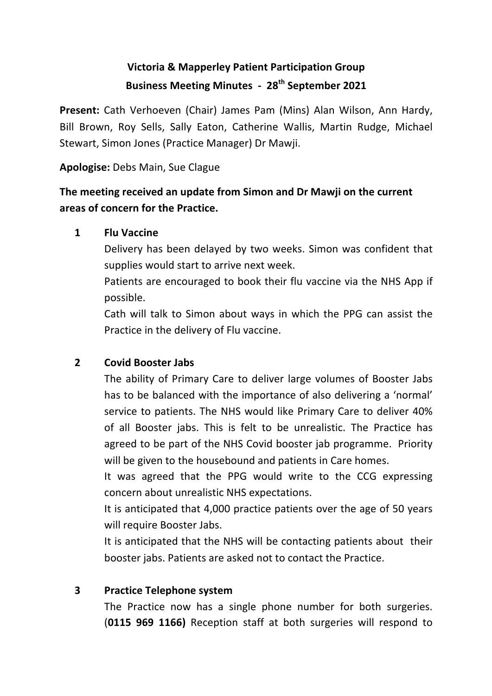# **Victoria & Mapperley Patient Participation Group Business Meeting Minutes - 28<sup>th</sup> September 2021**

**Present:** Cath Verhoeven (Chair) James Pam (Mins) Alan Wilson, Ann Hardy, Bill Brown, Roy Sells, Sally Eaton, Catherine Wallis, Martin Rudge, Michael Stewart, Simon Jones (Practice Manager) Dr Mawji.

**Apologise:** Debs Main, Sue Clague

## The meeting received an update from Simon and Dr Mawji on the current **areas of concern for the Practice.**

### **1 Flu Vaccine**

Delivery has been delayed by two weeks. Simon was confident that supplies would start to arrive next week.

Patients are encouraged to book their flu vaccine via the NHS App if possible.

Cath will talk to Simon about ways in which the PPG can assist the Practice in the delivery of Flu vaccine.

### **2 Covid Booster Jabs**

The ability of Primary Care to deliver large volumes of Booster Jabs has to be balanced with the importance of also delivering a 'normal' service to patients. The NHS would like Primary Care to deliver 40% of all Booster jabs. This is felt to be unrealistic. The Practice has agreed to be part of the NHS Covid booster jab programme. Priority will be given to the housebound and patients in Care homes.

It was agreed that the PPG would write to the CCG expressing concern about unrealistic NHS expectations.

It is anticipated that 4,000 practice patients over the age of 50 years will require Booster Jabs.

It is anticipated that the NHS will be contacting patients about their booster jabs. Patients are asked not to contact the Practice.

## **3 Practice Telephone system**

The Practice now has a single phone number for both surgeries. (**0115 969 1166)**  Reception staff at both surgeries will respond to